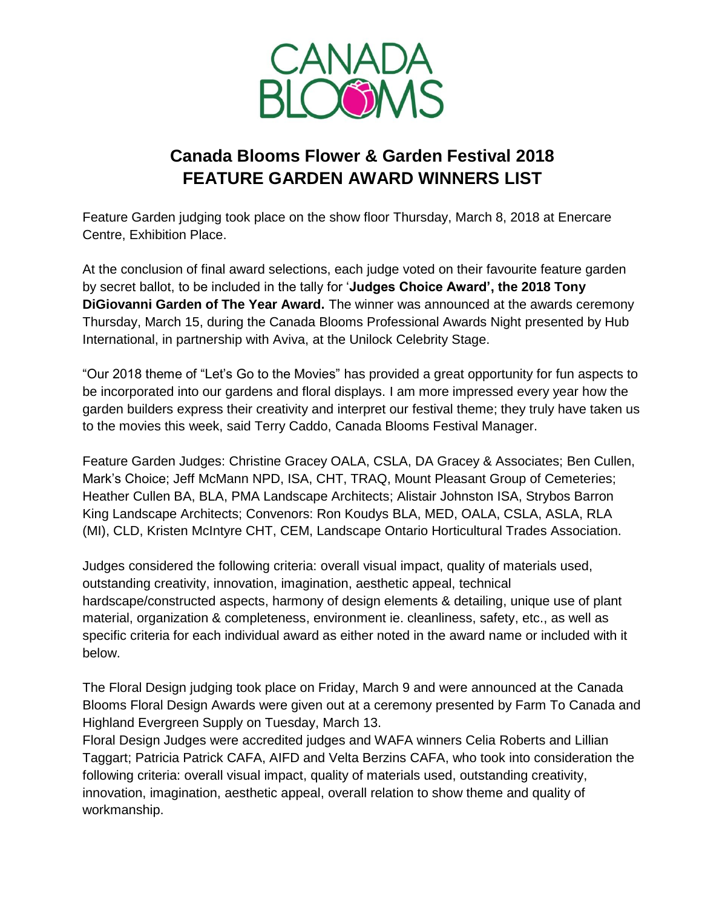

## **Canada Blooms Flower & Garden Festival 2018 FEATURE GARDEN AWARD WINNERS LIST**

Feature Garden judging took place on the show floor Thursday, March 8, 2018 at Enercare Centre, Exhibition Place.

At the conclusion of final award selections, each judge voted on their favourite feature garden by secret ballot, to be included in the tally for '**Judges Choice Award', the 2018 Tony DiGiovanni Garden of The Year Award.** The winner was announced at the awards ceremony Thursday, March 15, during the Canada Blooms Professional Awards Night presented by Hub International, in partnership with Aviva, at the Unilock Celebrity Stage.

"Our 2018 theme of "Let's Go to the Movies" has provided a great opportunity for fun aspects to be incorporated into our gardens and floral displays. I am more impressed every year how the garden builders express their creativity and interpret our festival theme; they truly have taken us to the movies this week, said Terry Caddo, Canada Blooms Festival Manager.

Feature Garden Judges: Christine Gracey OALA, CSLA, DA Gracey & Associates; Ben Cullen, Mark's Choice; Jeff McMann NPD, ISA, CHT, TRAQ, Mount Pleasant Group of Cemeteries; Heather Cullen BA, BLA, PMA Landscape Architects; Alistair Johnston ISA, Strybos Barron King Landscape Architects; Convenors: Ron Koudys BLA, MED, OALA, CSLA, ASLA, RLA (MI), CLD, Kristen McIntyre CHT, CEM, Landscape Ontario Horticultural Trades Association.

Judges considered the following criteria: overall visual impact, quality of materials used, outstanding creativity, innovation, imagination, aesthetic appeal, technical hardscape/constructed aspects, harmony of design elements & detailing, unique use of plant material, organization & completeness, environment ie. cleanliness, safety, etc., as well as specific criteria for each individual award as either noted in the award name or included with it below.

The Floral Design judging took place on Friday, March 9 and were announced at the Canada Blooms Floral Design Awards were given out at a ceremony presented by Farm To Canada and Highland Evergreen Supply on Tuesday, March 13.

Floral Design Judges were accredited judges and WAFA winners Celia Roberts and Lillian Taggart; Patricia Patrick CAFA, AIFD and Velta Berzins CAFA, who took into consideration the following criteria: overall visual impact, quality of materials used, outstanding creativity, innovation, imagination, aesthetic appeal, overall relation to show theme and quality of workmanship.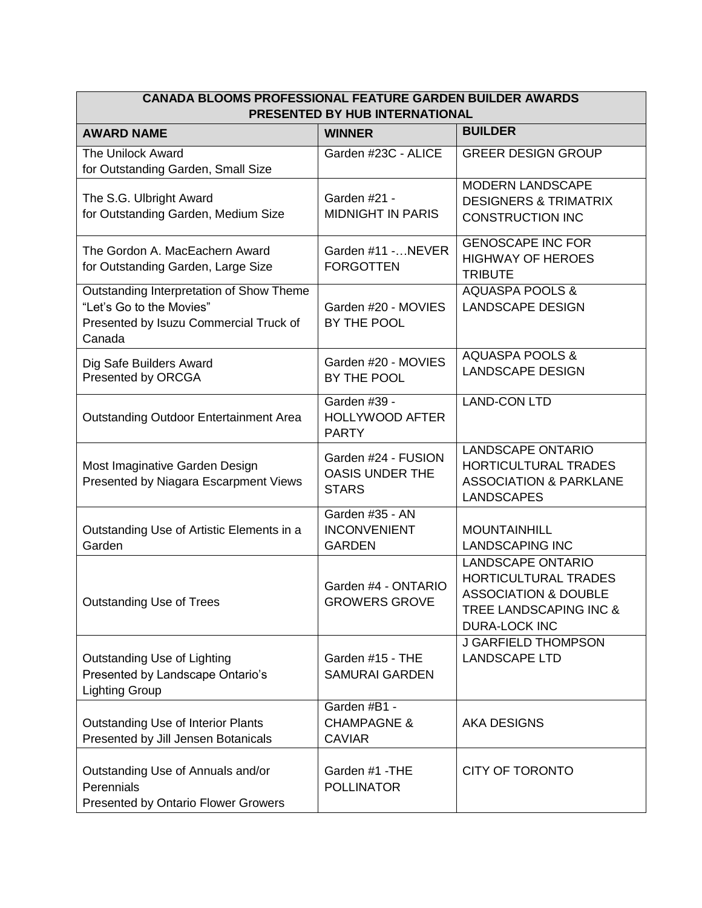| <b>CANADA BLOOMS PROFESSIONAL FEATURE GARDEN BUILDER AWARDS</b><br>PRESENTED BY HUB INTERNATIONAL                        |                                                               |                                                                                                                                              |  |
|--------------------------------------------------------------------------------------------------------------------------|---------------------------------------------------------------|----------------------------------------------------------------------------------------------------------------------------------------------|--|
| <b>AWARD NAME</b>                                                                                                        | <b>WINNER</b>                                                 | <b>BUILDER</b>                                                                                                                               |  |
| <b>The Unilock Award</b><br>for Outstanding Garden, Small Size                                                           | Garden #23C - ALICE                                           | <b>GREER DESIGN GROUP</b>                                                                                                                    |  |
| The S.G. Ulbright Award<br>for Outstanding Garden, Medium Size                                                           | Garden #21 -<br><b>MIDNIGHT IN PARIS</b>                      | MODERN LANDSCAPE<br><b>DESIGNERS &amp; TRIMATRIX</b><br><b>CONSTRUCTION INC</b>                                                              |  |
| The Gordon A. MacEachern Award<br>for Outstanding Garden, Large Size                                                     | Garden #11 - NEVER<br><b>FORGOTTEN</b>                        | <b>GENOSCAPE INC FOR</b><br><b>HIGHWAY OF HEROES</b><br><b>TRIBUTE</b>                                                                       |  |
| Outstanding Interpretation of Show Theme<br>"Let's Go to the Movies"<br>Presented by Isuzu Commercial Truck of<br>Canada | Garden #20 - MOVIES<br>BY THE POOL                            | <b>AQUASPA POOLS &amp;</b><br><b>LANDSCAPE DESIGN</b>                                                                                        |  |
| Dig Safe Builders Award<br>Presented by ORCGA                                                                            | Garden #20 - MOVIES<br>BY THE POOL                            | <b>AQUASPA POOLS &amp;</b><br><b>LANDSCAPE DESIGN</b>                                                                                        |  |
| <b>Outstanding Outdoor Entertainment Area</b>                                                                            | Garden #39 -<br><b>HOLLYWOOD AFTER</b><br><b>PARTY</b>        | <b>LAND-CON LTD</b>                                                                                                                          |  |
| Most Imaginative Garden Design<br>Presented by Niagara Escarpment Views                                                  | Garden #24 - FUSION<br><b>OASIS UNDER THE</b><br><b>STARS</b> | <b>LANDSCAPE ONTARIO</b><br>HORTICULTURAL TRADES<br><b>ASSOCIATION &amp; PARKLANE</b><br><b>LANDSCAPES</b>                                   |  |
| Outstanding Use of Artistic Elements in a<br>Garden                                                                      | Garden #35 - AN<br><b>INCONVENIENT</b><br><b>GARDEN</b>       | <b>MOUNTAINHILL</b><br><b>LANDSCAPING INC</b>                                                                                                |  |
| <b>Outstanding Use of Trees</b>                                                                                          | Garden #4 - ONTARIO<br><b>GROWERS GROVE</b>                   | <b>LANDSCAPE ONTARIO</b><br><b>HORTICULTURAL TRADES</b><br><b>ASSOCIATION &amp; DOUBLE</b><br>TREE LANDSCAPING INC &<br><b>DURA-LOCK INC</b> |  |
| Outstanding Use of Lighting<br>Presented by Landscape Ontario's<br><b>Lighting Group</b>                                 | Garden #15 - THE<br><b>SAMURAI GARDEN</b>                     | J GARFIELD THOMPSON<br><b>LANDSCAPE LTD</b>                                                                                                  |  |
| Outstanding Use of Interior Plants<br>Presented by Jill Jensen Botanicals                                                | Garden #B1 -<br><b>CHAMPAGNE &amp;</b><br><b>CAVIAR</b>       | <b>AKA DESIGNS</b>                                                                                                                           |  |
| Outstanding Use of Annuals and/or<br>Perennials<br><b>Presented by Ontario Flower Growers</b>                            | Garden #1 - THE<br><b>POLLINATOR</b>                          | <b>CITY OF TORONTO</b>                                                                                                                       |  |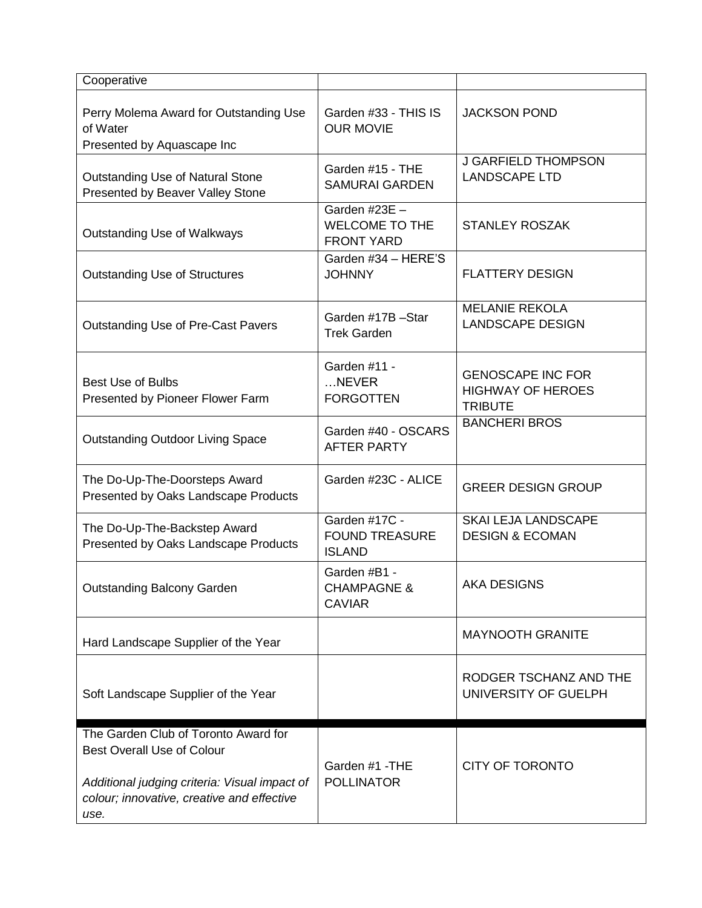| Cooperative                                                                                         |                                                             |                                                                        |
|-----------------------------------------------------------------------------------------------------|-------------------------------------------------------------|------------------------------------------------------------------------|
| Perry Molema Award for Outstanding Use<br>of Water<br>Presented by Aquascape Inc                    | Garden #33 - THIS IS<br><b>OUR MOVIE</b>                    | <b>JACKSON POND</b>                                                    |
| Outstanding Use of Natural Stone<br>Presented by Beaver Valley Stone                                | Garden #15 - THE<br><b>SAMURAI GARDEN</b>                   | <b>J GARFIELD THOMPSON</b><br><b>LANDSCAPE LTD</b>                     |
| <b>Outstanding Use of Walkways</b>                                                                  | Garden #23E -<br><b>WELCOME TO THE</b><br><b>FRONT YARD</b> | <b>STANLEY ROSZAK</b>                                                  |
| <b>Outstanding Use of Structures</b>                                                                | Garden #34 - HERE'S<br><b>JOHNNY</b>                        | <b>FLATTERY DESIGN</b>                                                 |
| Outstanding Use of Pre-Cast Pavers                                                                  | Garden #17B-Star<br><b>Trek Garden</b>                      | <b>MELANIE REKOLA</b><br><b>LANDSCAPE DESIGN</b>                       |
| <b>Best Use of Bulbs</b><br>Presented by Pioneer Flower Farm                                        | Garden #11 -<br>NEVER<br><b>FORGOTTEN</b>                   | <b>GENOSCAPE INC FOR</b><br><b>HIGHWAY OF HEROES</b><br><b>TRIBUTE</b> |
| <b>Outstanding Outdoor Living Space</b>                                                             | Garden #40 - OSCARS<br><b>AFTER PARTY</b>                   | <b>BANCHERI BROS</b>                                                   |
| The Do-Up-The-Doorsteps Award<br>Presented by Oaks Landscape Products                               | Garden #23C - ALICE                                         | <b>GREER DESIGN GROUP</b>                                              |
| The Do-Up-The-Backstep Award<br>Presented by Oaks Landscape Products                                | Garden #17C -<br><b>FOUND TREASURE</b><br><b>ISLAND</b>     | SKAI LEJA LANDSCAPE<br><b>DESIGN &amp; ECOMAN</b>                      |
| <b>Outstanding Balcony Garden</b>                                                                   | Garden #B1 -<br><b>CHAMPAGNE &amp;</b><br><b>CAVIAR</b>     | <b>AKA DESIGNS</b>                                                     |
| Hard Landscape Supplier of the Year                                                                 |                                                             | <b>MAYNOOTH GRANITE</b>                                                |
| Soft Landscape Supplier of the Year                                                                 |                                                             | RODGER TSCHANZ AND THE<br>UNIVERSITY OF GUELPH                         |
| The Garden Club of Toronto Award for<br><b>Best Overall Use of Colour</b>                           |                                                             |                                                                        |
| Additional judging criteria: Visual impact of<br>colour; innovative, creative and effective<br>use. | Garden #1 - THE<br><b>POLLINATOR</b>                        | <b>CITY OF TORONTO</b>                                                 |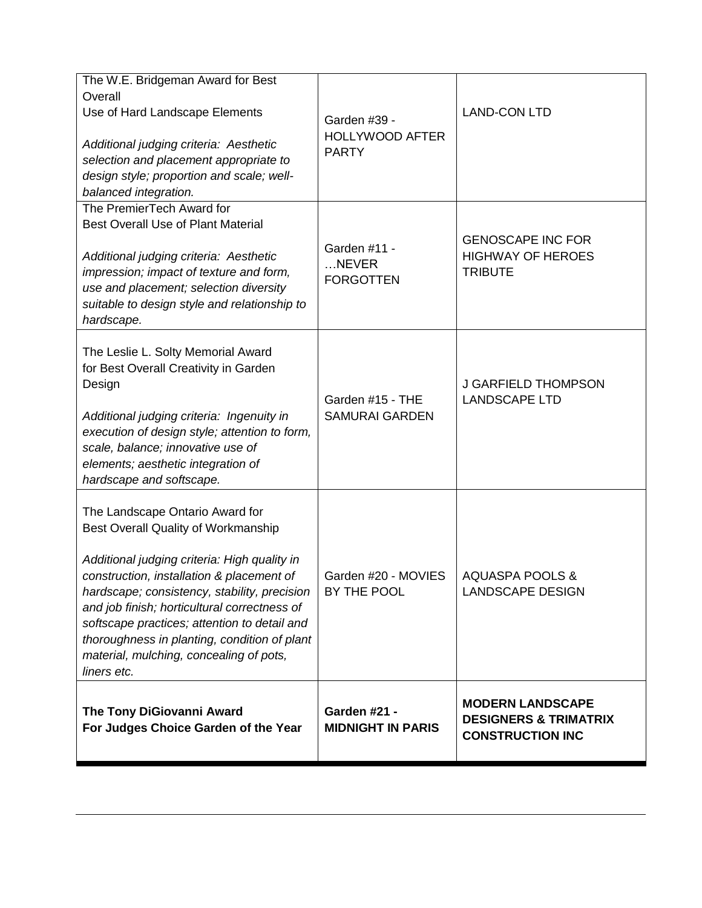| The W.E. Bridgeman Award for Best<br>Overall<br>Use of Hard Landscape Elements<br>Additional judging criteria: Aesthetic<br>selection and placement appropriate to<br>design style; proportion and scale; well-<br>balanced integration.                                                                                                                                                                                      | Garden #39 -<br><b>HOLLYWOOD AFTER</b><br><b>PARTY</b> | <b>LAND-CON LTD</b>                                                                    |
|-------------------------------------------------------------------------------------------------------------------------------------------------------------------------------------------------------------------------------------------------------------------------------------------------------------------------------------------------------------------------------------------------------------------------------|--------------------------------------------------------|----------------------------------------------------------------------------------------|
| The PremierTech Award for<br><b>Best Overall Use of Plant Material</b><br>Additional judging criteria: Aesthetic<br>impression; impact of texture and form,<br>use and placement; selection diversity<br>suitable to design style and relationship to<br>hardscape.                                                                                                                                                           | Garden #11 -<br>NEVER<br><b>FORGOTTEN</b>              | <b>GENOSCAPE INC FOR</b><br><b>HIGHWAY OF HEROES</b><br><b>TRIBUTE</b>                 |
| The Leslie L. Solty Memorial Award<br>for Best Overall Creativity in Garden<br>Design<br>Additional judging criteria: Ingenuity in<br>execution of design style; attention to form,<br>scale, balance; innovative use of<br>elements; aesthetic integration of<br>hardscape and softscape.                                                                                                                                    | Garden #15 - THE<br><b>SAMURAI GARDEN</b>              | <b>J GARFIELD THOMPSON</b><br><b>LANDSCAPE LTD</b>                                     |
| The Landscape Ontario Award for<br>Best Overall Quality of Workmanship<br>Additional judging criteria: High quality in<br>construction, installation & placement of<br>hardscape; consistency, stability, precision<br>and job finish; horticultural correctness of<br>softscape practices; attention to detail and<br>thoroughness in planting, condition of plant<br>material, mulching, concealing of pots,<br>liners etc. | Garden #20 - MOVIES<br>BY THE POOL                     | <b>AQUASPA POOLS &amp;</b><br><b>LANDSCAPE DESIGN</b>                                  |
| <b>The Tony DiGiovanni Award</b><br>For Judges Choice Garden of the Year                                                                                                                                                                                                                                                                                                                                                      | Garden #21 -<br><b>MIDNIGHT IN PARIS</b>               | <b>MODERN LANDSCAPE</b><br><b>DESIGNERS &amp; TRIMATRIX</b><br><b>CONSTRUCTION INC</b> |